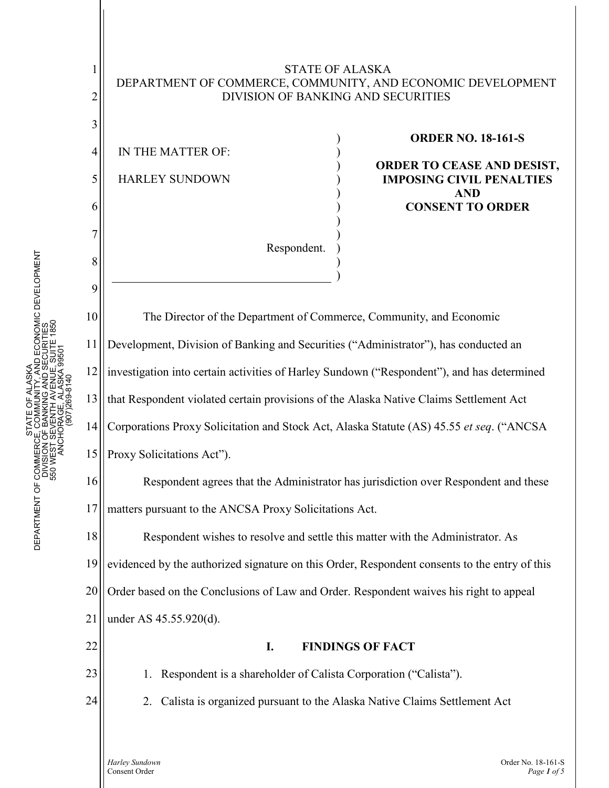

1

2

3

# STATE OF ALASKA DEPARTMENT OF COMMERCE, COMMUNITY, AND ECONOMIC DEVELOPMENT DIVISION OF BANKING AND SECURITIES

) ) ) ) ) ) ) ) ) )

)

IN THE MATTER OF: HARLEY SUNDOWN

Respondent.

### **ORDER NO. 18-161-S**

**ORDER TO CEASE AND DESIST, IMPOSING CIVIL PENALTIES AND CONSENT TO ORDER**

The Director of the Department of Commerce, Community, and Economic Development, Division of Banking and Securities ("Administrator"), has conducted an investigation into certain activities of Harley Sundown ("Respondent"), and has determined that Respondent violated certain provisions of the Alaska Native Claims Settlement Act Corporations Proxy Solicitation and Stock Act, Alaska Statute (AS) 45.55 *et seq*. ("ANCSA Proxy Solicitations Act").

Respondent agrees that the Administrator has jurisdiction over Respondent and these matters pursuant to the ANCSA Proxy Solicitations Act.

Respondent wishes to resolve and settle this matter with the Administrator. As evidenced by the authorized signature on this Order, Respondent consents to the entry of this Order based on the Conclusions of Law and Order. Respondent waives his right to appeal under AS 45.55.920(d).

## **I. FINDINGS OF FACT**

1. Respondent is a shareholder of Calista Corporation ("Calista").

2. Calista is organized pursuant to the Alaska Native Claims Settlement Act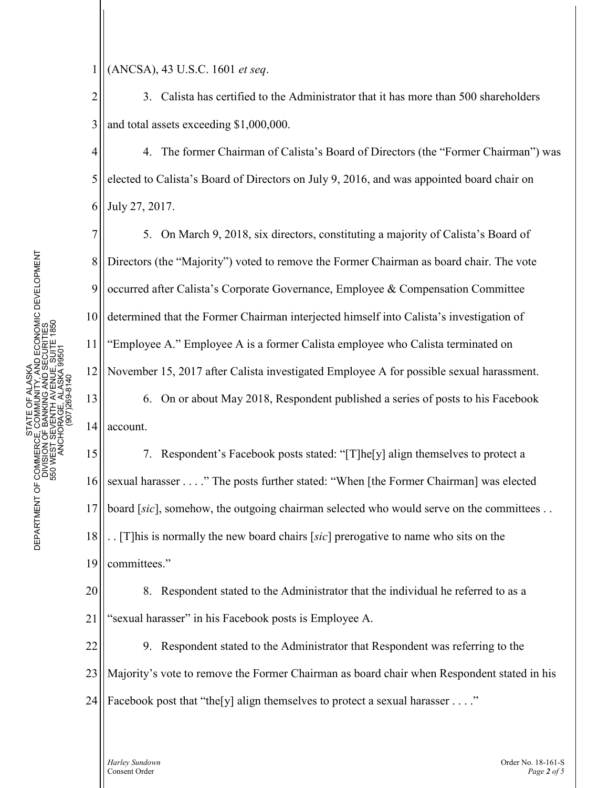1 (ANCSA), 43 U.S.C. 1601 *et seq*.

2 3 3. Calista has certified to the Administrator that it has more than 500 shareholders and total assets exceeding \$1,000,000.

4 5 6 4. The former Chairman of Calista's Board of Directors (the "Former Chairman") was elected to Calista's Board of Directors on July 9, 2016, and was appointed board chair on July 27, 2017.

5. On March 9, 2018, six directors, constituting a majority of Calista's Board of Directors (the "Majority") voted to remove the Former Chairman as board chair. The vote occurred after Calista's Corporate Governance, Employee & Compensation Committee determined that the Former Chairman interjected himself into Calista's investigation of "Employee A." Employee A is a former Calista employee who Calista terminated on November 15, 2017 after Calista investigated Employee A for possible sexual harassment. 6. On or about May 2018, Respondent published a series of posts to his Facebook

14 account.

7

8

9

10

11

12

13

15 16 17 18 19 7. Respondent's Facebook posts stated: "[T]he[y] align themselves to protect a sexual harasser . . . ." The posts further stated: "When [the Former Chairman] was elected board [sic], somehow, the outgoing chairman selected who would serve on the committees . . . . [T]his is normally the new board chairs [*sic*] prerogative to name who sits on the committees."

20 21 8. Respondent stated to the Administrator that the individual he referred to as a "sexual harasser" in his Facebook posts is Employee A.

22 23 24 9. Respondent stated to the Administrator that Respondent was referring to the Majority's vote to remove the Former Chairman as board chair when Respondent stated in his Facebook post that "the[y] align themselves to protect a sexual harasser . . . ."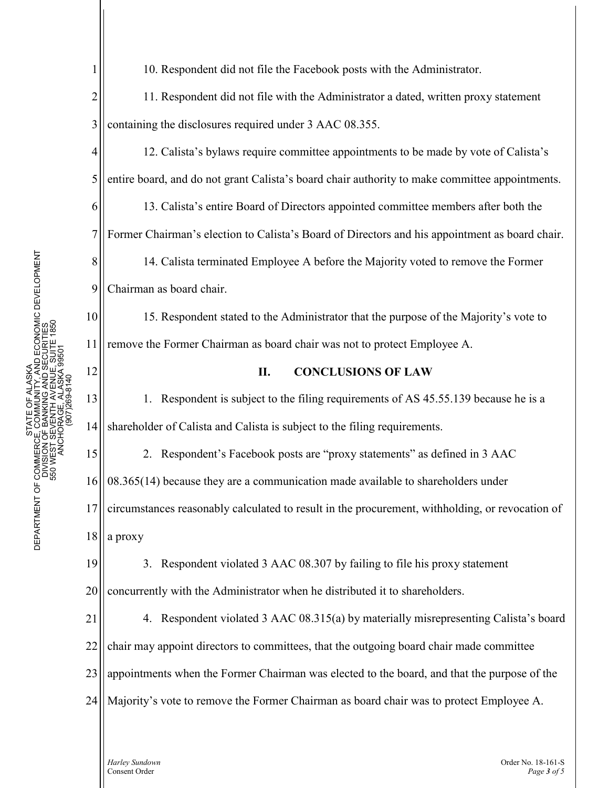1 2 3 4 5 6 7 8 9 10 11 12 13 14 15 16 17 18 19 20 21 22 23 24 10. Respondent did not file the Facebook posts with the Administrator. 11. Respondent did not file with the Administrator a dated, written proxy statement containing the disclosures required under 3 AAC 08.355. 12. Calista's bylaws require committee appointments to be made by vote of Calista's entire board, and do not grant Calista's board chair authority to make committee appointments. 13. Calista's entire Board of Directors appointed committee members after both the Former Chairman's election to Calista's Board of Directors and his appointment as board chair. 14. Calista terminated Employee A before the Majority voted to remove the Former Chairman as board chair. 15. Respondent stated to the Administrator that the purpose of the Majority's vote to remove the Former Chairman as board chair was not to protect Employee A. **II. CONCLUSIONS OF LAW** 1. Respondent is subject to the filing requirements of AS 45.55.139 because he is a shareholder of Calista and Calista is subject to the filing requirements. 2. Respondent's Facebook posts are "proxy statements" as defined in 3 AAC 08.365(14) because they are a communication made available to shareholders under circumstances reasonably calculated to result in the procurement, withholding, or revocation of a proxy 3. Respondent violated 3 AAC 08.307 by failing to file his proxy statement concurrently with the Administrator when he distributed it to shareholders. 4. Respondent violated 3 AAC 08.315(a) by materially misrepresenting Calista's board chair may appoint directors to committees, that the outgoing board chair made committee appointments when the Former Chairman was elected to the board, and that the purpose of the Majority's vote to remove the Former Chairman as board chair was to protect Employee A.

*Harley Sundown* **Content Order No. 18-161-S** Consent Order No. 18-161-S Consent Order *Page 3 of 5*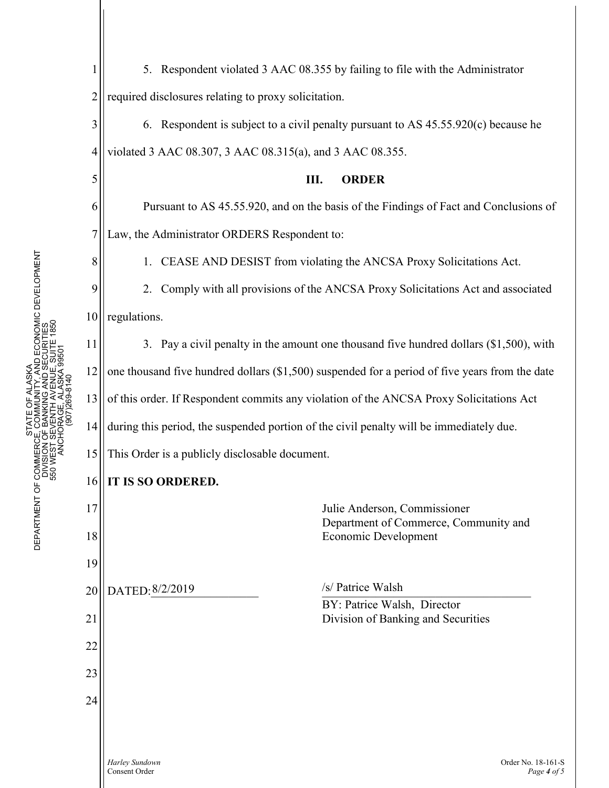5

6

7

8

9

10

17

18

19

20

21

22

23

24

1 2 5. Respondent violated 3 AAC 08.355 by failing to file with the Administrator required disclosures relating to proxy solicitation.

3 4 6. Respondent is subject to a civil penalty pursuant to AS 45.55.920(c) because he violated 3 AAC 08.307, 3 AAC 08.315(a), and 3 AAC 08.355.

# **III. ORDER**

Pursuant to AS 45.55.920, and on the basis of the Findings of Fact and Conclusions of Law, the Administrator ORDERS Respondent to:

1. CEASE AND DESIST from violating the ANCSA Proxy Solicitations Act.

2. Comply with all provisions of the ANCSA Proxy Solicitations Act and associated regulations.

11 12 13 14 15 3. Pay a civil penalty in the amount one thousand five hundred dollars (\$1,500), with one thousand five hundred dollars (\$1,500) suspended for a period of five years from the date of this order. If Respondent commits any violation of the ANCSA Proxy Solicitations Act during this period, the suspended portion of the civil penalty will be immediately due. This Order is a publicly disclosable document.

#### 16 **IT IS SO ORDERED.**

Julie Anderson, Commissioner Department of Commerce, Community and Economic Development DATED:  $8/2/2019$ BY: Patrice Walsh, Director Division of Banking and Securities /s/ Patrice Walsh